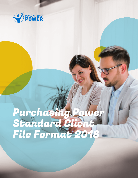

## Purchasing Power Standard Client File Format 2018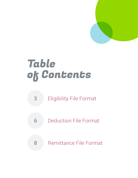

# Table of Contents

- 3 Eligibility File Format
- 6 Deduction File Format
- 8 Remittance File Format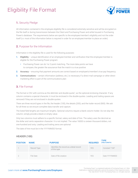### Eligibility File Format



### **1.** Security Pledge

All information contained in the employee eligibility file is considered extremely sensitive and will be encrypted on the file itself or during transmission between the Client and Purchasing Power and while housed in Purchasing Power's database. The requirements below are specific to the employee/member's eligibility and not the order itself (i.e. most of the information below is required in order for an employee/member to place an order).

### **2.** Purpose for the Information

Information in the eligibility file is used for the following purposes:

- 1. Eligibility unique identification of an employee/member and verification that the employee/member is eligible for the Purchasing Power program
	- Purchasing Power can do 1or 2-point matching. The more data points we have to compare, the greater the assurance that the match is a true positive
- 2. Accuracy ensuring that payment amounts are correct based on employee's/member's true pay frequency.
- 3. Communications certain information (address, etc.) is necessary if a direct mail campaign or other direct marketing effort is part of the communications plan

### **3.** File Format

The format is CSV with comma as the delimiter and double-quote,", as the optional enclosing character. If any column contains a special character, it must be enclosed in the double-quotes. Leading and trailing spaces are removed if they are not enclosed in double-quotes.

There are three record types in the file, the header (100), the details (200), and the trailer record (900). We ask for all three so we ensure complete data transfer and capture.

The listed field lengths are maximum lengths. Optional columns require a blank column holder. Do not skip the column; simply provide a blank or empty value.

Only two columns must adhere to a specific format; salary and date of hire. The salary uses the decimal as the dollar and cents separation character. It is not implied. The value 16000 is sixteen thousand dollars, not one-hundred and sixty. Leading and trailing zeros are optional.

The date of hire must be in the YYYYMMDD format.

### HEADER (100)

| <b>POSITION</b> | <b>NAME</b> | <b>PURPOSE</b>                                           | <b>REQUIRED</b> | <b>TYPE</b><br>(FIELD LENGTH) |
|-----------------|-------------|----------------------------------------------------------|-----------------|-------------------------------|
|                 | Record Type | Identifies the record as a detail record<br>of this type | <b>YES</b>      | Constant "100"                |
|                 | File Date   | Date of file creation                                    | <b>YES</b>      | Date YYYYMMDD                 |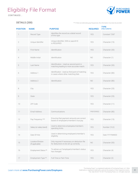### Eligibility File Format

*CONTINUED...*



### DETAILS (200)

\*\*\* if there are alternating pay frequencies, this information must also be provided

| <b>POSITION</b> | <b>NAME</b>                          | <b>PURPOSE</b>                                                                          | <b>REQUIRED</b> | <b>TYPE</b><br>(FIELD LENGTH) |
|-----------------|--------------------------------------|-----------------------------------------------------------------------------------------|-----------------|-------------------------------|
| 1               | Record Type                          | Identifies the record as a detail record<br>of this type                                | <b>YES</b>      | Constant "200"                |
| $\mathbf{2}$    | Unique Identifier                    | Unique identifier; SSN or payroll ID<br>is REQUIRED                                     | <b>YES</b>      | Character (15)                |
| 3               | First Name                           | Identification                                                                          | <b>YES</b>      | Character (30)                |
| $\overline{4}$  | Middle Initial                       | Identification                                                                          | NO.             | Character (1)                 |
| 5               | Last Name                            | Identification - Used as second point in<br>matching leading to more accurate match.    | <b>YES</b>      | Character (30)                |
| 6               | Address 1                            | Identification - Used as third point of matching<br>in cases where other matching fails | <b>YES</b>      | Character (80)                |
| $\overline{7}$  | Address 2                            | Identification                                                                          | NO.             | Character (80)                |
| 8               | City                                 |                                                                                         | <b>YES</b>      | Character (25)                |
| 9               | State                                |                                                                                         | <b>YES</b>      | Character (25)                |
| 10              | ZIP Code                             |                                                                                         | <b>YES</b>      | Character (11)                |
| 11              | Email Address                        | Communications                                                                          | PREFERRED       | Character (80)                |
| 12              | Pay Frequency ***                    | Ensuring that payment amounts are correct<br>based on employee's/member's true pay      | <b>YES</b>      | Character (15)                |
| 13              | Salary (or salary band)              | Used to determine employees/member's<br>spending limits.                                | <b>YES</b>      | Number (10,2)                 |
| 14              | Date Of Hire                         | Used in determining employee's/member's<br>eligibility                                  | YES             | Date YYYYMMDD                 |
| 15              | Location/Division<br>(If applicable) | Only required if necessary on deduction file<br>for deductions to be set up correctly.  | NO.             | Character (50)                |
| 16              | Employment Status **                 | To advise us if employee's/member's status<br>has changed                               | YES             | Character (4)                 |
| 17              | Employment Type **                   | Full-Time or Part-Time                                                                  | YES             | Character (2)                 |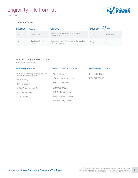### Eligibility File Format

*CONTINUED...*



### TRAILER (900)

| <b>POSITION</b> | <b>NAME</b>                 | <b>PURPOSE</b>                                                  | <b>REQUIRED</b> | <b>TYPE</b><br>(FIELD LENGTH) |
|-----------------|-----------------------------|-----------------------------------------------------------------|-----------------|-------------------------------|
|                 | Record Type                 | Identifies the record as a detail record<br>of this type        | <b>YES</b>      | Constant "900"                |
|                 | Number of Detail<br>Records | Provides a validation check for the number<br>of detail records | <b>YES</b>      | Integer                       |

#### ELIGIBILITY FILE FORMAT KEY

*(SUGGESTED CODES BELOW)*

| <b>PAY FREQUENCY **</b>                                                                | <b>EMPLOYMENT STATUS **</b>            | <b>EMPLOYMENT TYPE **</b> |  |
|----------------------------------------------------------------------------------------|----------------------------------------|---------------------------|--|
| *** If there are alternating pay frequencies, this<br>information must be provided *** | $ACT = Active$                         | $FT = FULL$ TIME          |  |
| $WK = WeekV$                                                                           | $\text{LOA} = \text{Leave of Absence}$ | $PT = PART TIME$          |  |
| $BW = Bi-Weekly$                                                                       | TERM = Termination                     |                           |  |
| $BWS = Bi-Weekly skip 3rd$                                                             | Examples of LOA                        |                           |  |
| SM = Semi-Monthly                                                                      | $FMLA = Family Leave$                  |                           |  |
| $MT = Monthly$                                                                         | MAT = Maternity Leave                  |                           |  |
|                                                                                        | MIL = Military Leave                   |                           |  |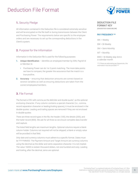### Deduction File Format



### **1.** Security Pledge

All information contained in the Deduction file is considered extremely sensitive and will be encrypted on the file itself or during transmission between the Client and Purchasing Power. The requirements below are specific to the employee orders and are necessary to set up the corresponding deductions in the Client's system.

### **2.** Purpose for the Information

Information in the Deduction file is used for the following purposes:

- 1. Unique Identification identifies an employee/member by SSN, Payroll Id or Member Id.
	- Purchasing Power can do 1 or 2-point matching. The more data points we have to compare, the greater the assurance that the match is a true positive.
- **2.** Accuracy ensuring that deduction amounts are correct based on several variables as well as ensuring deductions are taken from the correct employees/members.

### **3.** File Format

The format is CSV with comma as the delimiter and double-quote,", as the optional enclosing character. If any column contains a special character (i.e., comma, record separation character or leading/trailing spaces), it must be enclosed in the double-quotes. Leading and trailing spaces are removed if they are not enclosed in double-quotes.

There are three record types in the file, the header (100), the details (200), and the trailer record (900). We ask for all three so we ensure complete data transfer and capture.

The listed field lengths are maximum lengths. Optional columns require a blank column holder. Columns not required will not be skipped; a blank or empty value will be provided in that field.

Only date and currency columns must adhere to a specific format. Dates must be YYYYMMDD. The Payment Amount and Target Amount are currency columns using the decimal as the dollar and cents separation character. It is not implied. The value 16000 is sixteen thousand dollars, not one-hundred and sixty. Leading and trailing, after the decimal, zeros are optional.

#### DEDUCTION FILE FORMAT KEY

*(SUGGESTED CODES BELOW)*

#### PAY FREQUENCY \*\*

WK = Weekly BW = Bi-Weekly SM = Semi-Monthly MT = Monthly BW3 = Bi-Weekly skip 3rd in

a calendar month

*\*\*\* If there are alternating pay frequencies, this information must be provided \*\*\**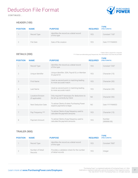### Deduction File Format

*CONTINUED...*



### HEADER (100)

| <b>POSITION</b> | <b>NAME</b> | <b>PURPOSE</b>                                           | <b>REQUIRED</b> | <b>TYPE</b><br>(FIELD LENGTH) |
|-----------------|-------------|----------------------------------------------------------|-----------------|-------------------------------|
|                 | Record Type | Identifies the record as a detail record<br>of this type | YFS.            | Constant "100"                |
|                 | File Date   | Date of file creation                                    | <b>YES</b>      | Date YYYYMMDD                 |

#### DETAILS (200)

\* Either SSN or payroll ID is required \*\*\* If there are alternating pay frequencies, this information must also be provided

| <b>POSITION</b> | <b>NAME</b>                          | <b>PURPOSE</b>                                                                | <b>REQUIRED</b> | <b>TYPE</b><br>(FIELD LENGTH) |
|-----------------|--------------------------------------|-------------------------------------------------------------------------------|-----------------|-------------------------------|
|                 | Record Type                          | Identifies the record as a detail record<br>of this type                      | <b>YFS</b>      | Constant "200"                |
| $\overline{2}$  | Unique Identifier                    | Unique identifier; SSN, Payroll ID, or Member<br>ID payroll ID                | <b>YES</b>      | Character (15)                |
| 3               | First Name                           | Used as second point in matching leading<br>to more accurate match            | <b>YES</b>      | Character (30)                |
| $\overline{4}$  | Last Name                            | Used as second point in matching leading<br>to more accurate match            | <b>YES</b>      | Character (30)                |
| 5               | Location/Division<br>(If applicable) | Only required if necessary for deductions to<br>be set up correctly by Client | N <sub>O</sub>  | Character (50)                |
| 6               | Next Deduction Date                  | To advise Clients of when Purchasing Power<br>expects payments to begin       | N <sub>O</sub>  | Date YYYYMMDD                 |
| 7               | Pay Frequency ***                    | To advise Clients of pay frequency used to<br>calculate the payment amounts   | <b>YFS</b>      | Character (15)                |
| 8               | Payment Amount                       | To advise Clients of pay frequency used to<br>calculate the payment amounts   | <b>YES</b>      | Number<br>(999999.99)         |

### TRAILER (900)

| <b>POSITION</b> | <b>NAME</b>                        | <b>PURPOSE</b>                                                  | <b>REQUIRED</b> | <b>TYPE</b><br>(FIELD LENGTH) |
|-----------------|------------------------------------|-----------------------------------------------------------------|-----------------|-------------------------------|
|                 | Record Type                        | Identifies the record as a detail record<br>of this type        | YFS.            | Constant "900"                |
|                 | Number of Detail<br><b>Records</b> | Provides a validation check for the number<br>of detail records | <b>YFS</b>      | Integer                       |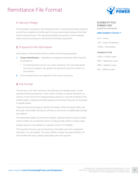### Remittance File Format



### **1.** Security Pledge

All information contained in the Remittance file is considered extremely sensitive and will be encrypted on the file itself or during transmission between the Client and Purchasing Power. The requirements below are specific to the employee orders and are necessary to reconcile the remittance payments.

### **2.** Purpose for the Information

Information in the Remittance file is used for the following purposes:

- 1. Unique Identification identifies an employee/member by SSN, Payroll Id or Member Id.
	- Purchasing Power can do 1 or 2-point matching. The more data points we have to compare, the greater the assurance that the match is a true positive.
- 2. Ensuring deductions are applied to the correct accounts.

### **3.** File Format

The format is CSV with comma as the delimiter and double-quote,", as the optional enclosing character. If any column contains a special character (i.e., comma or end of record or leading/trailing spaces), it must be enclosed in the double-quotes. Leading and trailing spaces are removed if they are not enclosed in double-quotes.

There are three record types in the file, the header (100), the details (200), and the trailer record (900). We ask for all three so we ensure complete data transfer and capture.

The listed field lengths are maximum lengths. Optional columns require a blank column holder. Do not skip the column; simply provide a blank or empty value.

All date columns must adhere to a specific format; YYYYMMDD.

The Payment Amount uses the decimal as the dollar and cents separation character. It is not implied. The value 16000 is sixteen thousand dollars, not one-hundred and sixty. Leading and trailing zeros are optional.

#### ELIGIBILITY FILE FORMAT KEY *(SUGGESTED CODES BELOW)*

#### EMPLOYMENT STATUS \*\*

ACT = Active LOA = Leave of Absence

TERM = Termination

#### *Examples of LOA*

FMLA = Family Leave MAT = Maternity Leave MED = Medical Leave MIL = Military Leave